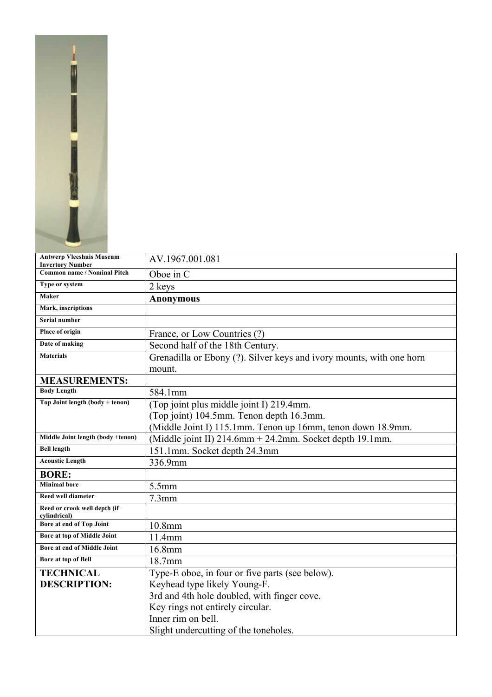

| <b>Antwerp Vleeshuis Museum</b>              | AV.1967.001.081                                                      |
|----------------------------------------------|----------------------------------------------------------------------|
| <b>Invertory Number</b>                      |                                                                      |
| <b>Common name / Nominal Pitch</b>           | Oboe in C                                                            |
| Type or system                               | 2 keys                                                               |
| Maker                                        | <b>Anonymous</b>                                                     |
| Mark, inscriptions                           |                                                                      |
| <b>Serial number</b>                         |                                                                      |
| <b>Place of origin</b>                       | France, or Low Countries (?)                                         |
| Date of making                               | Second half of the 18th Century.                                     |
| <b>Materials</b>                             | Grenadilla or Ebony (?). Silver keys and ivory mounts, with one horn |
|                                              | mount.                                                               |
| <b>MEASUREMENTS:</b>                         |                                                                      |
| <b>Body Length</b>                           | 584.1mm                                                              |
| Top Joint length (body + tenon)              | (Top joint plus middle joint I) 219.4mm.                             |
|                                              | (Top joint) 104.5mm. Tenon depth 16.3mm.                             |
|                                              | (Middle Joint I) 115.1mm. Tenon up 16mm, tenon down 18.9mm.          |
| Middle Joint length (body +tenon)            | (Middle joint II) 214.6mm + 24.2mm. Socket depth 19.1mm.             |
| <b>Bell length</b>                           | 151.1mm. Socket depth 24.3mm                                         |
| <b>Acoustic Length</b>                       | 336.9mm                                                              |
| <b>BORE:</b>                                 |                                                                      |
| <b>Minimal</b> bore                          | 5.5mm                                                                |
| <b>Reed well diameter</b>                    | $7.3$ mm                                                             |
| Reed or crook well depth (if<br>cylindrical) |                                                                      |
| Bore at end of Top Joint                     | $10.8$ mm                                                            |
| Bore at top of Middle Joint                  | 11.4mm                                                               |
| Bore at end of Middle Joint                  | 16.8mm                                                               |
| Bore at top of Bell                          | 18.7mm                                                               |
| <b>TECHNICAL</b>                             | Type-E oboe, in four or five parts (see below).                      |
| <b>DESCRIPTION:</b>                          | Keyhead type likely Young-F.                                         |
|                                              | 3rd and 4th hole doubled, with finger cove.                          |
|                                              | Key rings not entirely circular.                                     |
|                                              | Inner rim on bell.                                                   |
|                                              | Slight undercutting of the toneholes.                                |